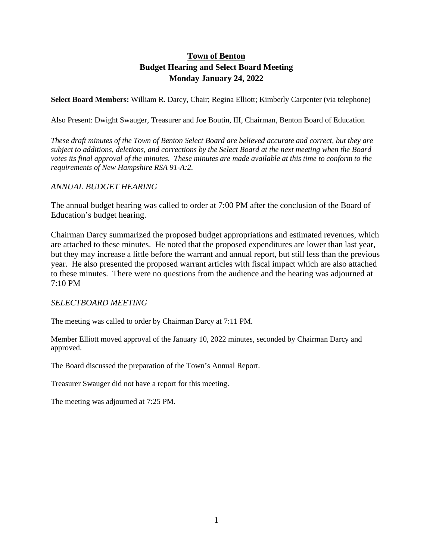# **Town of Benton Budget Hearing and Select Board Meeting Monday January 24, 2022**

**Select Board Members:** William R. Darcy, Chair; Regina Elliott; Kimberly Carpenter (via telephone)

Also Present: Dwight Swauger, Treasurer and Joe Boutin, III, Chairman, Benton Board of Education

*These draft minutes of the Town of Benton Select Board are believed accurate and correct, but they are subject to additions, deletions, and corrections by the Select Board at the next meeting when the Board votes its final approval of the minutes. These minutes are made available at this time to conform to the requirements of New Hampshire RSA 91-A:2.*

# *ANNUAL BUDGET HEARING*

The annual budget hearing was called to order at 7:00 PM after the conclusion of the Board of Education's budget hearing.

Chairman Darcy summarized the proposed budget appropriations and estimated revenues, which are attached to these minutes. He noted that the proposed expenditures are lower than last year, but they may increase a little before the warrant and annual report, but still less than the previous year. He also presented the proposed warrant articles with fiscal impact which are also attached to these minutes. There were no questions from the audience and the hearing was adjourned at 7:10 PM

# *SELECTBOARD MEETING*

The meeting was called to order by Chairman Darcy at 7:11 PM.

Member Elliott moved approval of the January 10, 2022 minutes, seconded by Chairman Darcy and approved.

The Board discussed the preparation of the Town's Annual Report.

Treasurer Swauger did not have a report for this meeting.

The meeting was adjourned at 7:25 PM.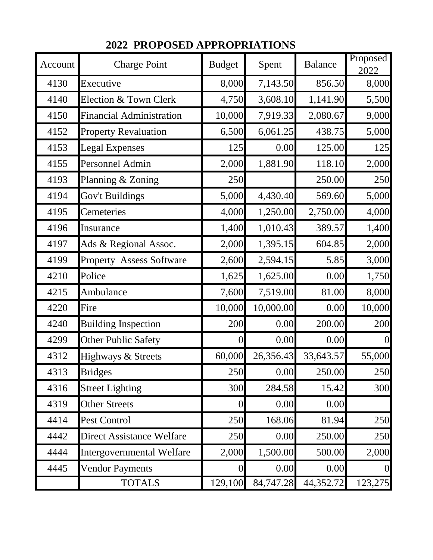| Account | <b>Charge Point</b>              | <b>Budget</b>  | Spent     | <b>Balance</b> | Proposed<br>2022 |
|---------|----------------------------------|----------------|-----------|----------------|------------------|
| 4130    | Executive                        | 8,000          | 7,143.50  | 856.50         | 8,000            |
| 4140    | Election & Town Clerk            | 4,750          | 3,608.10  | 1,141.90       | 5,500            |
| 4150    | <b>Financial Administration</b>  | 10,000         | 7,919.33  | 2,080.67       | 9,000            |
| 4152    | <b>Property Revaluation</b>      | 6,500          | 6,061.25  | 438.75         | 5,000            |
| 4153    | <b>Legal Expenses</b>            | 125            | 0.00      | 125.00         | 125              |
| 4155    | Personnel Admin                  | 2,000          | 1,881.90  | 118.10         | 2,000            |
| 4193    | Planning & Zoning                | 250            |           | 250.00         | 250              |
| 4194    | Gov't Buildings                  | 5,000          | 4,430.40  | 569.60         | 5,000            |
| 4195    | Cemeteries                       | 4,000          | 1,250.00  | 2,750.00       | 4,000            |
| 4196    | Insurance                        | 1,400          | 1,010.43  | 389.57         | 1,400            |
| 4197    | Ads & Regional Assoc.            | 2,000          | 1,395.15  | 604.85         | 2,000            |
| 4199    | <b>Property Assess Software</b>  | 2,600          | 2,594.15  | 5.85           | 3,000            |
| 4210    | Police                           | 1,625          | 1,625.00  | 0.00           | 1,750            |
| 4215    | Ambulance                        | 7,600          | 7,519.00  | 81.00          | 8,000            |
| 4220    | Fire                             | 10,000         | 10,000.00 | 0.00           | 10,000           |
| 4240    | <b>Building Inspection</b>       | 200            | 0.00      | 200.00         | 200              |
| 4299    | <b>Other Public Safety</b>       | $\overline{0}$ | 0.00      | 0.00           | $\overline{0}$   |
| 4312    | Highways & Streets               | 60,000         | 26,356.43 | 33,643.57      | 55,000           |
| 4313    | <b>Bridges</b>                   | 250            | 0.00      | 250.00         | 250              |
| 4316    | <b>Street Lighting</b>           | 300            | 284.58    | 15.42          | 300              |
| 4319    | <b>Other Streets</b>             | $\overline{0}$ | 0.00      | 0.00           |                  |
| 4414    | Pest Control                     | 250            | 168.06    | 81.94          | 250              |
| 4442    | Direct Assistance Welfare        | 250            | 0.00      | 250.00         | 250              |
| 4444    | <b>Intergovernmental Welfare</b> | 2,000          | 1,500.00  | 500.00         | 2,000            |
| 4445    | <b>Vendor Payments</b>           | $\Omega$       | 0.00      | 0.00           | $\overline{0}$   |
|         | <b>TOTALS</b>                    | 129,100        | 84,747.28 | 44,352.72      | 123,275          |

 **2022 PROPOSED APPROPRIATIONS**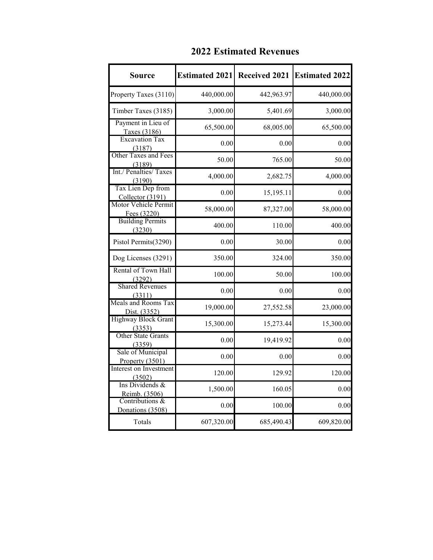| <b>Source</b>                         | <b>Estimated 2021</b> | <b>Received 2021</b> | <b>Estimated 2022</b> |
|---------------------------------------|-----------------------|----------------------|-----------------------|
| Property Taxes (3110)                 | 440,000.00            | 442,963.97           | 440,000.00            |
| Timber Taxes (3185)                   | 3,000.00              | 5,401.69             | 3,000.00              |
| Payment in Lieu of<br>Taxes (3186)    | 65,500.00             | 68,005.00            | 65,500.00             |
| <b>Excavation Tax</b><br>(3187)       | 0.00                  | 0.00                 | 0.00                  |
| Other Taxes and Fees<br>(3189)        | 50.00                 | 765.00               | 50.00                 |
| Int./ Penalties/ Taxes<br>(3190)      | 4,000.00              | 2,682.75             | 4,000.00              |
| Tax Lien Dep from<br>Collector (3191) | 0.00                  | 15,195.11            | 0.00                  |
| Motor Vehicle Permit<br>Fees (3220)   | 58,000.00             | 87,327.00            | 58,000.00             |
| <b>Building Permits</b><br>(3230)     | 400.00                | 110.00               | 400.00                |
| Pistol Permits(3290)                  | 0.00                  | 30.00                | 0.00                  |
| Dog Licenses (3291)                   | 350.00                | 324.00               | 350.00                |
| Rental of Town Hall<br>(3292)         | 100.00                | 50.00                | 100.00                |
| <b>Shared Revenues</b><br>(3311)      | 0.00                  | 0.00                 | 0.00                  |
| Meals and Rooms Tax<br>Dist. (3352)   | 19,000.00             | 27,552.58            | 23,000.00             |
| <b>Highway Block Grant</b><br>(3353)  | 15,300.00             | 15,273.44            | 15,300.00             |
| <b>Other State Grants</b><br>(3359)   | 0.00                  | 19,419.92            | 0.00                  |
| Sale of Municipal<br>Property (3501)  | 0.00                  | 0.00                 | 0.00                  |
| Interest on Investment<br>(3502)      | 120.00                | 129.92               | 120.00                |
| Ins Dividends &<br>Reimb. (3506)      | 1,500.00              | 160.05               | 0.00                  |
| Contributions &<br>Donations (3508)   | 0.00                  | 100.00               | 0.00                  |
| Totals                                | 607,320.00            | 685,490.43           | 609,820.00            |

# **2022 Estimated Revenues**